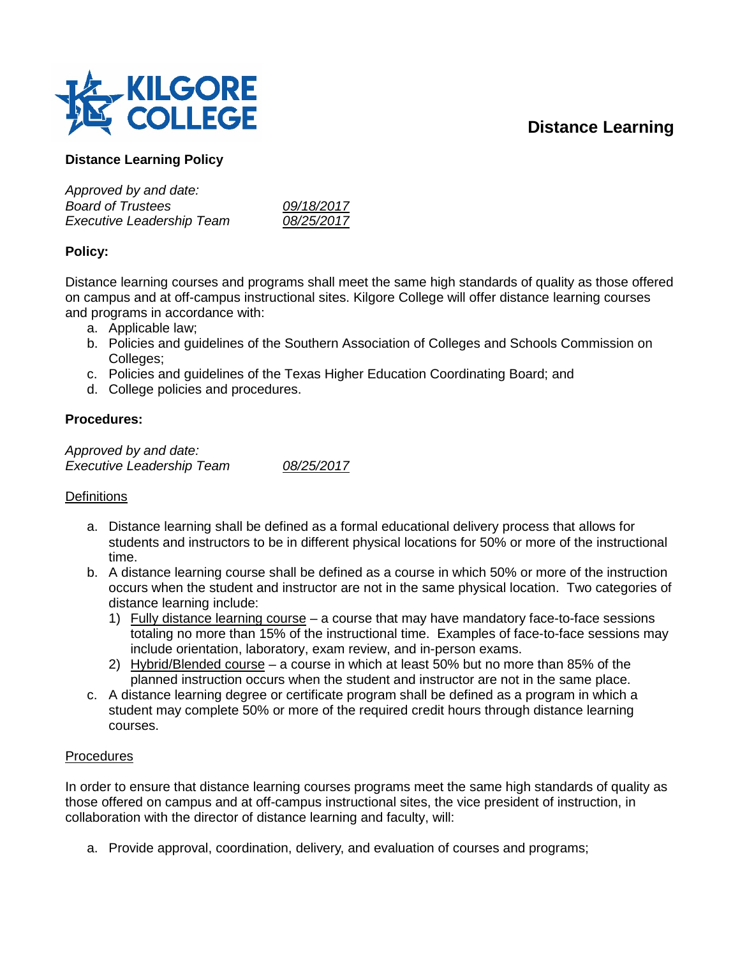# **Distance Learning**



# **Distance Learning Policy**

| 09/18/2017 |
|------------|
| 08/25/2017 |
|            |

## **Policy:**

Distance learning courses and programs shall meet the same high standards of quality as those offered on campus and at off-campus instructional sites. Kilgore College will offer distance learning courses and programs in accordance with:

- a. Applicable law;
- b. Policies and guidelines of the Southern Association of Colleges and Schools Commission on Colleges;
- c. Policies and guidelines of the Texas Higher Education Coordinating Board; and
- d. College policies and procedures.

## **Procedures:**

*Approved by and date: Executive Leadership Team 08/25/2017*

#### **Definitions**

- a. Distance learning shall be defined as a formal educational delivery process that allows for students and instructors to be in different physical locations for 50% or more of the instructional time.
- b. A distance learning course shall be defined as a course in which 50% or more of the instruction occurs when the student and instructor are not in the same physical location. Two categories of distance learning include:
	- 1) Fully distance learning course a course that may have mandatory face-to-face sessions totaling no more than 15% of the instructional time. Examples of face-to-face sessions may include orientation, laboratory, exam review, and in-person exams.
	- 2) Hybrid/Blended course a course in which at least 50% but no more than 85% of the planned instruction occurs when the student and instructor are not in the same place.
- c. A distance learning degree or certificate program shall be defined as a program in which a student may complete 50% or more of the required credit hours through distance learning courses.

#### **Procedures**

In order to ensure that distance learning courses programs meet the same high standards of quality as those offered on campus and at off-campus instructional sites, the vice president of instruction, in collaboration with the director of distance learning and faculty, will:

a. Provide approval, coordination, delivery, and evaluation of courses and programs;